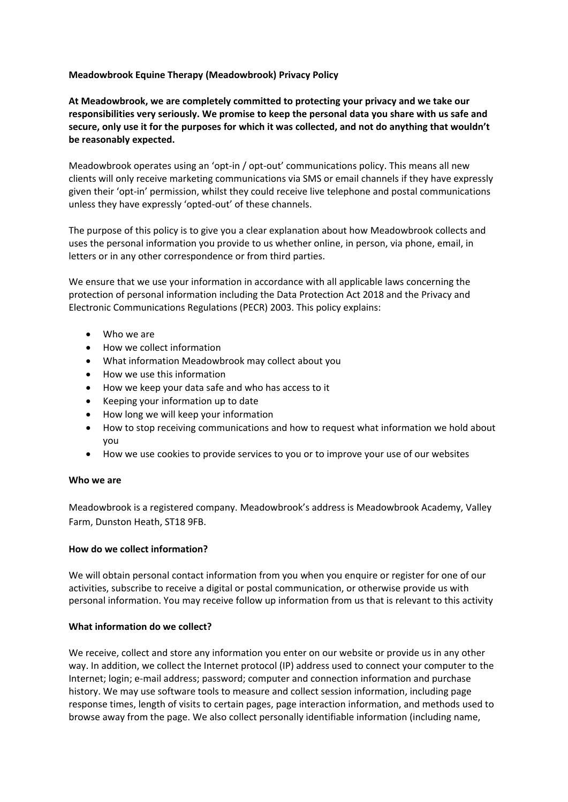# **Meadowbrook Equine Therapy (Meadowbrook) Privacy Policy**

**At Meadowbrook, we are completely committed to protecting your privacy and we take our responsibilities very seriously. We promise to keep the personal data you share with us safe and secure, only use it for the purposes for which it was collected, and not do anything that wouldn't be reasonably expected.**

Meadowbrook operates using an 'opt-in / opt-out' communications policy. This means all new clients will only receive marketing communications via SMS or email channels if they have expressly given their 'opt-in' permission, whilst they could receive live telephone and postal communications unless they have expressly 'opted-out' of these channels.

The purpose of this policy is to give you a clear explanation about how Meadowbrook collects and uses the personal information you provide to us whether online, in person, via phone, email, in letters or in any other correspondence or from third parties.

We ensure that we use your information in accordance with all applicable laws concerning the protection of personal information including the Data Protection Act 2018 and the Privacy and Electronic Communications Regulations (PECR) 2003. This policy explains:

- Who we are
- How we collect information
- What information Meadowbrook may collect about you
- How we use this information
- How we keep your data safe and who has access to it
- Keeping your information up to date
- How long we will keep your information
- How to stop receiving communications and how to request what information we hold about you
- How we use cookies to provide services to you or to improve your use of our websites

### **Who we are**

Meadowbrook is a registered company. Meadowbrook's address is Meadowbrook Academy, Valley Farm, Dunston Heath, ST18 9FB.

### **How do we collect information?**

We will obtain personal contact information from you when you enquire or register for one of our activities, subscribe to receive a digital or postal communication, or otherwise provide us with personal information. You may receive follow up information from us that is relevant to this activity

### **What information do we collect?**

We receive, collect and store any information you enter on our website or provide us in any other way. In addition, we collect the Internet protocol (IP) address used to connect your computer to the Internet; login; e-mail address; password; computer and connection information and purchase history. We may use software tools to measure and collect session information, including page response times, length of visits to certain pages, page interaction information, and methods used to browse away from the page. We also collect personally identifiable information (including name,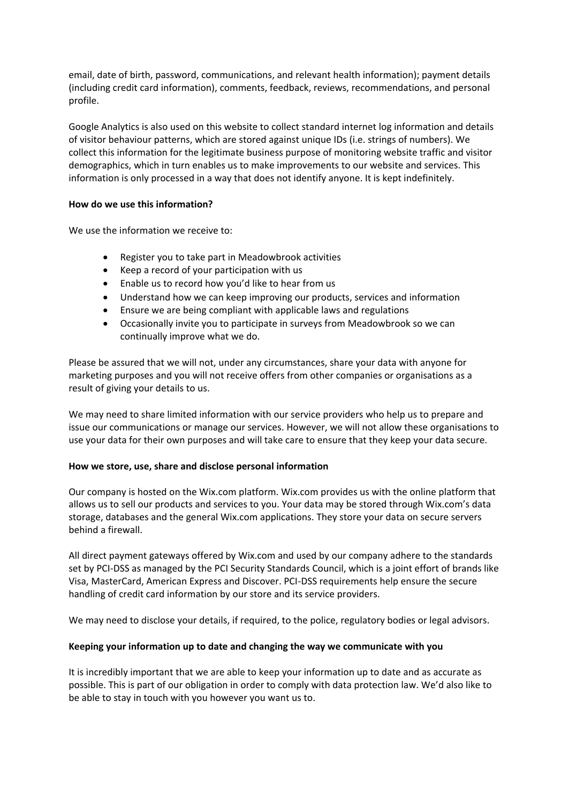email, date of birth, password, communications, and relevant health information); payment details (including credit card information), comments, feedback, reviews, recommendations, and personal profile.

Google Analytics is also used on this website to collect standard internet log information and details of visitor behaviour patterns, which are stored against unique IDs (i.e. strings of numbers). We collect this information for the legitimate business purpose of monitoring website traffic and visitor demographics, which in turn enables us to make improvements to our website and services. This information is only processed in a way that does not identify anyone. It is kept indefinitely.

### **How do we use this information?**

We use the information we receive to:

- Register you to take part in Meadowbrook activities
- Keep a record of your participation with us
- Enable us to record how you'd like to hear from us
- Understand how we can keep improving our products, services and information
- Ensure we are being compliant with applicable laws and regulations
- Occasionally invite you to participate in surveys from Meadowbrook so we can continually improve what we do.

Please be assured that we will not, under any circumstances, share your data with anyone for marketing purposes and you will not receive offers from other companies or organisations as a result of giving your details to us.

We may need to share limited information with our service providers who help us to prepare and issue our communications or manage our services. However, we will not allow these organisations to use your data for their own purposes and will take care to ensure that they keep your data secure.

### **How we store, use, share and disclose personal information**

Our company is hosted on the Wix.com platform. Wix.com provides us with the online platform that allows us to sell our products and services to you. Your data may be stored through Wix.com's data storage, databases and the general Wix.com applications. They store your data on secure servers behind a firewall.

All direct payment gateways offered by Wix.com and used by our company adhere to the standards set by PCI-DSS as managed by the PCI Security Standards Council, which is a joint effort of brands like Visa, MasterCard, American Express and Discover. PCI-DSS requirements help ensure the secure handling of credit card information by our store and its service providers.

We may need to disclose your details, if required, to the police, regulatory bodies or legal advisors.

### **Keeping your information up to date and changing the way we communicate with you**

It is incredibly important that we are able to keep your information up to date and as accurate as possible. This is part of our obligation in order to comply with data protection law. We'd also like to be able to stay in touch with you however you want us to.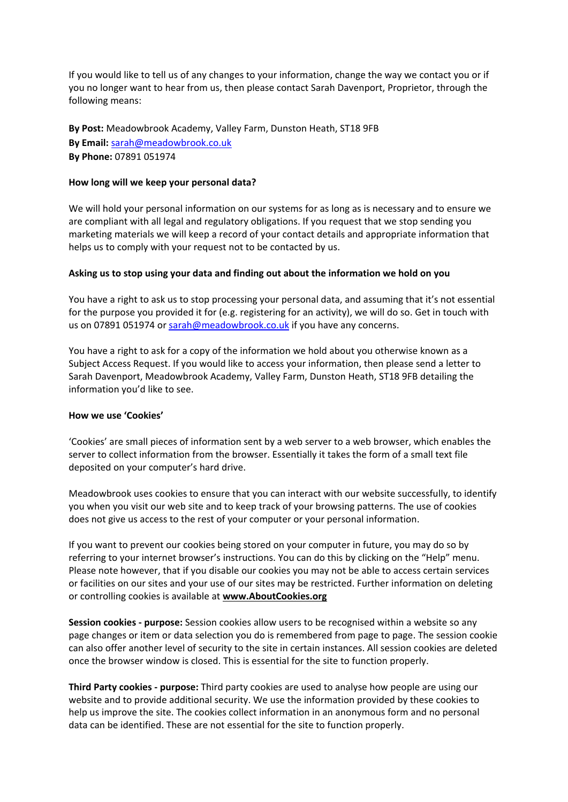If you would like to tell us of any changes to your information, change the way we contact you or if you no longer want to hear from us, then please contact Sarah Davenport, Proprietor, through the following means:

**By Post:** Meadowbrook Academy, Valley Farm, Dunston Heath, ST18 9FB **By Email:** [sarah@meadowbrook.co.uk](mailto:sarah@meadowbrook.co.uk) **By Phone:** 07891 051974

## **How long will we keep your personal data?**

We will hold your personal information on our systems for as long as is necessary and to ensure we are compliant with all legal and regulatory obligations. If you request that we stop sending you marketing materials we will keep a record of your contact details and appropriate information that helps us to comply with your request not to be contacted by us.

# **Asking us to stop using your data and finding out about the information we hold on you**

You have a right to ask us to stop processing your personal data, and assuming that it's not essential for the purpose you provided it for (e.g. registering for an activity), we will do so. Get in touch with us on 07891 051974 or [sarah@meadowbrook.co.uk](mailto:sarah@meadowbrook.co.uk) if you have any concerns.

You have a right to ask for a copy of the information we hold about you otherwise known as a Subject Access Request. If you would like to access your information, then please send a letter to Sarah Davenport, Meadowbrook Academy, Valley Farm, Dunston Heath, ST18 9FB detailing the information you'd like to see.

### **How we use 'Cookies'**

'Cookies' are small pieces of information sent by a web server to a web browser, which enables the server to collect information from the browser. Essentially it takes the form of a small text file deposited on your computer's hard drive.

Meadowbrook uses cookies to ensure that you can interact with our website successfully, to identify you when you visit our web site and to keep track of your browsing patterns. The use of cookies does not give us access to the rest of your computer or your personal information.

If you want to prevent our cookies being stored on your computer in future, you may do so by referring to your internet browser's instructions. You can do this by clicking on the "Help" menu. Please note however, that if you disable our cookies you may not be able to access certain services or facilities on our sites and your use of our sites may be restricted. Further information on deleting or controlling cookies is available at **[www.AboutCookies.org](http://www.aboutcookies.org/)**

**Session cookies - purpose:** Session cookies allow users to be recognised within a website so any page changes or item or data selection you do is remembered from page to page. The session cookie can also offer another level of security to the site in certain instances. All session cookies are deleted once the browser window is closed. This is essential for the site to function properly.

**Third Party cookies - purpose:** Third party cookies are used to analyse how people are using our website and to provide additional security. We use the information provided by these cookies to help us improve the site. The cookies collect information in an anonymous form and no personal data can be identified. These are not essential for the site to function properly.